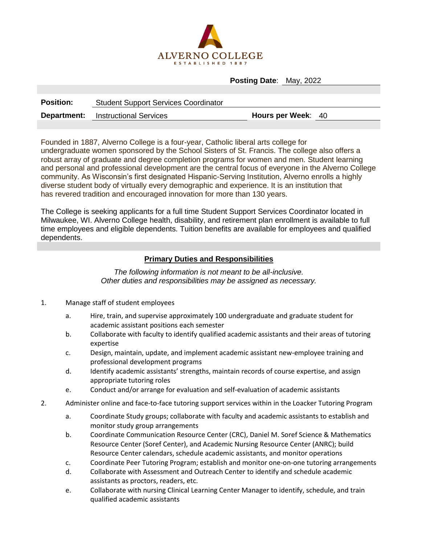

**Posting Date**: May, 2022

| <b>Position:</b> | <b>Student Support Services Coordinator</b> |                    |  |
|------------------|---------------------------------------------|--------------------|--|
|                  | <b>Department:</b> Instructional Services   | Hours per Week: 40 |  |

Founded in 1887, Alverno College is a four-year, Catholic liberal arts college for undergraduate women sponsored by the School Sisters of St. Francis. The college also offers a robust array of graduate and degree completion programs for women and men. Student learning and personal and professional development are the central focus of everyone in the Alverno College community. As Wisconsin's first designated Hispanic-Serving Institution, Alverno enrolls a highly diverse student body of virtually every demographic and experience. It is an institution that has revered tradition and encouraged innovation for more than 130 years.

The College is seeking applicants for a full time Student Support Services Coordinator located in Milwaukee, WI. Alverno College health, disability, and retirement plan enrollment is available to full time employees and eligible dependents. Tuition benefits are available for employees and qualified dependents.

## **Primary Duties and Responsibilities**

*The following information is not meant to be all-inclusive. Other duties and responsibilities may be assigned as necessary.*

- 1. Manage staff of student employees
	- a. Hire, train, and supervise approximately 100 undergraduate and graduate student for academic assistant positions each semester
	- b. Collaborate with faculty to identify qualified academic assistants and their areas of tutoring expertise
	- c. Design, maintain, update, and implement academic assistant new-employee training and professional development programs
	- d. Identify academic assistants' strengths, maintain records of course expertise, and assign appropriate tutoring roles
	- e. Conduct and/or arrange for evaluation and self-evaluation of academic assistants
- 2. Administer online and face-to-face tutoring support services within in the Loacker Tutoring Program
	- a. Coordinate Study groups; collaborate with faculty and academic assistants to establish and monitor study group arrangements
	- b. Coordinate Communication Resource Center (CRC), Daniel M. Soref Science & Mathematics Resource Center (Soref Center), and Academic Nursing Resource Center (ANRC); build Resource Center calendars, schedule academic assistants, and monitor operations
	- c. Coordinate Peer Tutoring Program; establish and monitor one-on-one tutoring arrangements
	- d. Collaborate with Assessment and Outreach Center to identify and schedule academic assistants as proctors, readers, etc.
	- e. Collaborate with nursing Clinical Learning Center Manager to identify, schedule, and train qualified academic assistants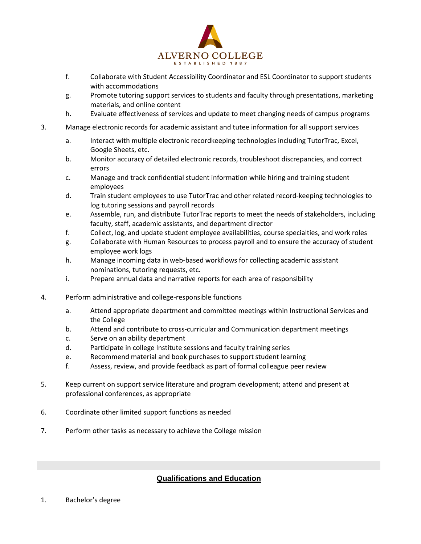

- f. Collaborate with Student Accessibility Coordinator and ESL Coordinator to support students with accommodations
- g. Promote tutoring support services to students and faculty through presentations, marketing materials, and online content
- h. Evaluate effectiveness of services and update to meet changing needs of campus programs
- 3. Manage electronic records for academic assistant and tutee information for all support services
	- a. Interact with multiple electronic recordkeeping technologies including TutorTrac, Excel, Google Sheets, etc.
	- b. Monitor accuracy of detailed electronic records, troubleshoot discrepancies, and correct errors
	- c. Manage and track confidential student information while hiring and training student employees
	- d. Train student employees to use TutorTrac and other related record-keeping technologies to log tutoring sessions and payroll records
	- e. Assemble, run, and distribute TutorTrac reports to meet the needs of stakeholders, including faculty, staff, academic assistants, and department director
	- f. Collect, log, and update student employee availabilities, course specialties, and work roles
	- g. Collaborate with Human Resources to process payroll and to ensure the accuracy of student employee work logs
	- h. Manage incoming data in web-based workflows for collecting academic assistant nominations, tutoring requests, etc.
	- i. Prepare annual data and narrative reports for each area of responsibility
- 4. Perform administrative and college-responsible functions
	- a. Attend appropriate department and committee meetings within Instructional Services and the College
	- b. Attend and contribute to cross-curricular and Communication department meetings
	- c. Serve on an ability department
	- d. Participate in college Institute sessions and faculty training series
	- e. Recommend material and book purchases to support student learning
	- f. Assess, review, and provide feedback as part of formal colleague peer review
- 5. Keep current on support service literature and program development; attend and present at professional conferences, as appropriate
- 6. Coordinate other limited support functions as needed
- 7. Perform other tasks as necessary to achieve the College mission

## **Qualifications and Education**

1. Bachelor's degree